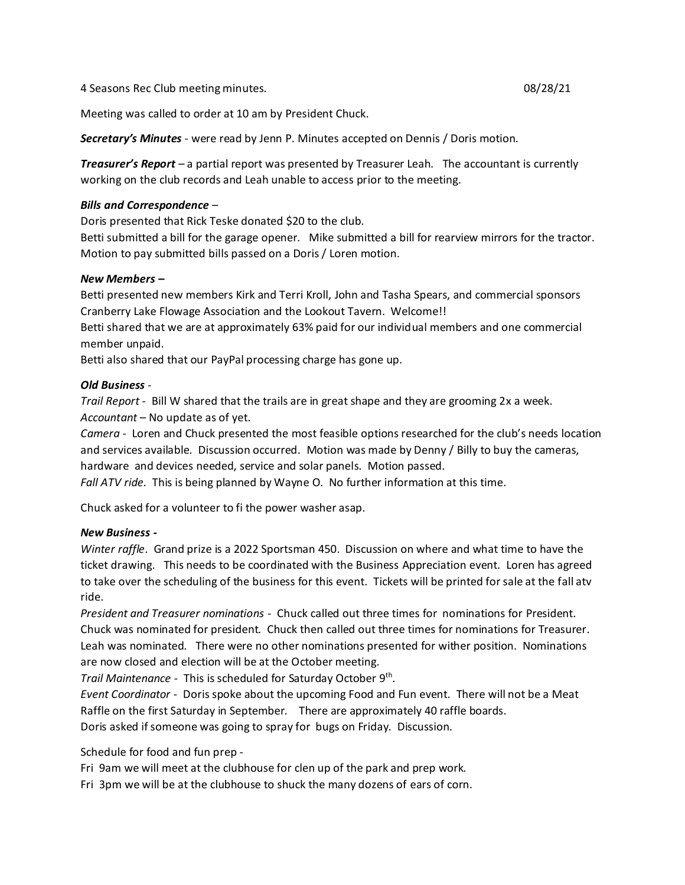4 Seasons Rec Club meeting minutes. 08/28/21

Meeting was called to order at 10 am by President Chuck.

*Secretary's Minutes* - were read by Jenn P. Minutes accepted on Dennis / Doris motion.

*Treasurer's Report* – a partial report was presented by Treasurer Leah. The accountant is currently working on the club records and Leah unable to access prior to the meeting.

## *Bills and Correspondence* –

Doris presented that Rick Teske donated \$20 to the club.

Betti submitted a bill for the garage opener. Mike submitted a bill for rearview mirrors for the tractor. Motion to pay submitted bills passed on a Doris / Loren motion.

## *New Members –*

Betti presented new members Kirk and Terri Kroll, John and Tasha Spears, and commercial sponsors Cranberry Lake Flowage Association and the Lookout Tavern. Welcome!!

Betti shared that we are at approximately 63% paid for our individual members and one commercial member unpaid.

Betti also shared that our PayPal processing charge has gone up.

## *Old Business* -

*Trail Report* - Bill W shared that the trails are in great shape and they are grooming 2x a week. *Accountant* – No update as of yet.

*Camera* - Loren and Chuck presented the most feasible options researched for the club's needs location and services available. Discussion occurred. Motion was made by Denny / Billy to buy the cameras, hardware and devices needed, service and solar panels. Motion passed.

*Fall ATV ride*. This is being planned by Wayne O. No further information at this time.

Chuck asked for a volunteer to fi the power washer asap.

## *New Business -*

*Winter raffle*. Grand prize is a 2022 Sportsman 450. Discussion on where and what time to have the ticket drawing. This needs to be coordinated with the Business Appreciation event. Loren has agreed to take over the scheduling of the business for this event. Tickets will be printed for sale at the fall atv ride.

*President and Treasurer nominations* - Chuck called out three times for nominations for President. Chuck was nominated for president. Chuck then called out three times for nominations for Treasurer. Leah was nominated. There were no other nominations presented for wither position. Nominations are now closed and election will be at the October meeting.

Trail Maintenance - This is scheduled for Saturday October 9<sup>th</sup>.

*Event Coordinator* - Doris spoke about the upcoming Food and Fun event. There will not be a Meat Raffle on the first Saturday in September. There are approximately 40 raffle boards. Doris asked if someone was going to spray for bugs on Friday. Discussion.

Schedule for food and fun prep -

Fri 9am we will meet at the clubhouse for clen up of the park and prep work.

Fri 3pm we will be at the clubhouse to shuck the many dozens of ears of corn.